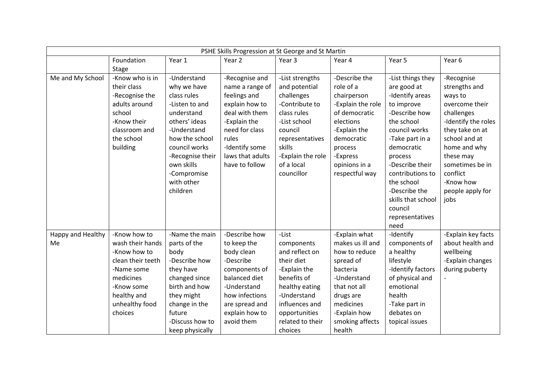| PSHE Skills Progression at St George and St Martin |                   |                  |                  |                   |                   |                    |                     |  |
|----------------------------------------------------|-------------------|------------------|------------------|-------------------|-------------------|--------------------|---------------------|--|
|                                                    | Foundation        | Year 1           | Year 2           | Year 3            | Year 4            | Year 5             | Year 6              |  |
|                                                    | <b>Stage</b>      |                  |                  |                   |                   |                    |                     |  |
| Me and My School                                   | -Know who is in   | -Understand      | -Recognise and   | -List strengths   | -Describe the     | -List things they  | -Recognise          |  |
|                                                    | their class       | why we have      | name a range of  | and potential     | role of a         | are good at        | strengths and       |  |
|                                                    | -Recognise the    | class rules      | feelings and     | challenges        | chairperson       | -Identify areas    | ways to             |  |
|                                                    | adults around     | -Listen to and   | explain how to   | -Contribute to    | -Explain the role | to improve         | overcome their      |  |
|                                                    | school            | understand       | deal with them   | class rules       | of democratic     | -Describe how      | challenges          |  |
|                                                    | -Know their       | others' ideas    | -Explain the     | -List school      | elections         | the school         | -Identify the roles |  |
|                                                    | classroom and     | -Understand      | need for class   | council           | -Explain the      | council works      | they take on at     |  |
|                                                    | the school        | how the school   | rules            | representatives   | democratic        | -Take part in a    | school and at       |  |
|                                                    | building          | council works    | -Identify some   | skills            | process           | democratic         | home and why        |  |
|                                                    |                   | -Recognise their | laws that adults | -Explain the role | -Express          | process            | these may           |  |
|                                                    |                   | own skills       | have to follow   | of a local        | opinions in a     | -Describe their    | sometimes be in     |  |
|                                                    |                   | -Compromise      |                  | councillor        | respectful way    | contributions to   | conflict            |  |
|                                                    |                   | with other       |                  |                   |                   | the school         | -Know how           |  |
|                                                    |                   | children         |                  |                   |                   | -Describe the      | people apply for    |  |
|                                                    |                   |                  |                  |                   |                   | skills that school | jobs                |  |
|                                                    |                   |                  |                  |                   |                   | council            |                     |  |
|                                                    |                   |                  |                  |                   |                   | representatives    |                     |  |
|                                                    |                   |                  |                  |                   |                   | need               |                     |  |
| Happy and Healthy                                  | -Know how to      | -Name the main   | -Describe how    | -List             | -Explain what     | -Identify          | -Explain key facts  |  |
| Me                                                 | wash their hands  | parts of the     | to keep the      | components        | makes us ill and  | components of      | about health and    |  |
|                                                    | -Know how to      | body             | body clean       | and reflect on    | how to reduce     | a healthy          | wellbeing           |  |
|                                                    | clean their teeth | -Describe how    | -Describe        | their diet        | spread of         | lifestyle          | -Explain changes    |  |
|                                                    | -Name some        | they have        | components of    | -Explain the      | bacteria          | -Identify factors  | during puberty      |  |
|                                                    | medicines         | changed since    | balanced diet    | benefits of       | -Understand       | of physical and    |                     |  |
|                                                    | -Know some        | birth and how    | -Understand      | healthy eating    | that not all      | emotional          |                     |  |
|                                                    | healthy and       | they might       | how infections   | -Understand       | drugs are         | health             |                     |  |
|                                                    | unhealthy food    | change in the    | are spread and   | influences and    | medicines         | -Take part in      |                     |  |
|                                                    | choices           | future           | explain how to   | opportunities     | -Explain how      | debates on         |                     |  |
|                                                    |                   | -Discuss how to  | avoid them       | related to their  | smoking affects   | topical issues     |                     |  |
|                                                    |                   | keep physically  |                  | choices           | health            |                    |                     |  |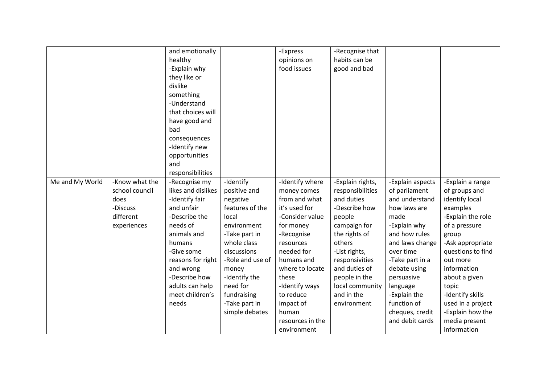|                 |                | and emotionally      |                  | -Express         | -Recognise that  |                  |                   |
|-----------------|----------------|----------------------|------------------|------------------|------------------|------------------|-------------------|
|                 |                | healthy              |                  | opinions on      | habits can be    |                  |                   |
|                 |                | -Explain why         |                  | food issues      | good and bad     |                  |                   |
|                 |                | they like or         |                  |                  |                  |                  |                   |
|                 |                | dislike              |                  |                  |                  |                  |                   |
|                 |                | something            |                  |                  |                  |                  |                   |
|                 |                | -Understand          |                  |                  |                  |                  |                   |
|                 |                | that choices will    |                  |                  |                  |                  |                   |
|                 |                |                      |                  |                  |                  |                  |                   |
|                 |                | have good and<br>bad |                  |                  |                  |                  |                   |
|                 |                |                      |                  |                  |                  |                  |                   |
|                 |                | consequences         |                  |                  |                  |                  |                   |
|                 |                | -Identify new        |                  |                  |                  |                  |                   |
|                 |                | opportunities        |                  |                  |                  |                  |                   |
|                 |                | and                  |                  |                  |                  |                  |                   |
|                 |                | responsibilities     |                  |                  |                  |                  |                   |
| Me and My World | -Know what the | -Recognise my        | -Identify        | -Identify where  | -Explain rights, | -Explain aspects | -Explain a range  |
|                 | school council | likes and dislikes   | positive and     | money comes      | responsibilities | of parliament    | of groups and     |
|                 | does           | -Identify fair       | negative         | from and what    | and duties       | and understand   | identify local    |
|                 | -Discuss       | and unfair           | features of the  | it's used for    | -Describe how    | how laws are     | examples          |
|                 | different      | -Describe the        | local            | -Consider value  | people           | made             | -Explain the role |
|                 | experiences    | needs of             | environment      | for money        | campaign for     | -Explain why     | of a pressure     |
|                 |                | animals and          | -Take part in    | -Recognise       | the rights of    | and how rules    | group             |
|                 |                | humans               | whole class      | resources        | others           | and laws change  | -Ask appropriate  |
|                 |                | -Give some           | discussions      | needed for       | -List rights,    | over time        | questions to find |
|                 |                | reasons for right    | -Role and use of | humans and       | responsivities   | -Take part in a  | out more          |
|                 |                | and wrong            | money            | where to locate  | and duties of    | debate using     | information       |
|                 |                | -Describe how        | -Identify the    | these            | people in the    | persuasive       | about a given     |
|                 |                | adults can help      | need for         | -Identify ways   | local community  | language         | topic             |
|                 |                | meet children's      | fundraising      | to reduce        | and in the       | -Explain the     | -Identify skills  |
|                 |                | needs                | -Take part in    | impact of        | environment      | function of      | used in a project |
|                 |                |                      | simple debates   | human            |                  | cheques, credit  | -Explain how the  |
|                 |                |                      |                  | resources in the |                  | and debit cards  | media present     |
|                 |                |                      |                  | environment      |                  |                  | information       |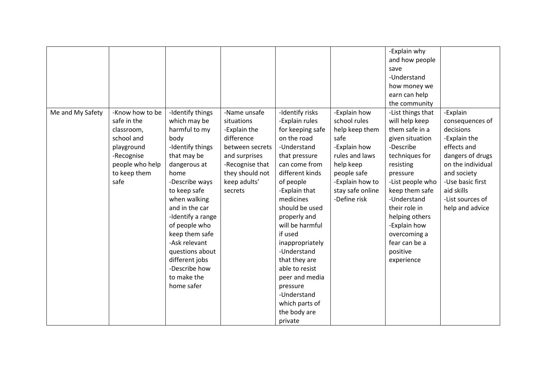|                  |                 |                   |                 |                  |                  | -Explain why      |                   |
|------------------|-----------------|-------------------|-----------------|------------------|------------------|-------------------|-------------------|
|                  |                 |                   |                 |                  |                  | and how people    |                   |
|                  |                 |                   |                 |                  |                  | save              |                   |
|                  |                 |                   |                 |                  |                  | -Understand       |                   |
|                  |                 |                   |                 |                  |                  | how money we      |                   |
|                  |                 |                   |                 |                  |                  | earn can help     |                   |
|                  |                 |                   |                 |                  |                  | the community     |                   |
| Me and My Safety | -Know how to be | -Identify things  | -Name unsafe    | -Identify risks  | -Explain how     | -List things that | -Explain          |
|                  | safe in the     | which may be      | situations      | -Explain rules   | school rules     | will help keep    | consequences of   |
|                  | classroom,      | harmful to my     | -Explain the    | for keeping safe | help keep them   | them safe in a    | decisions         |
|                  | school and      | body              | difference      | on the road      | safe             | given situation   | -Explain the      |
|                  | playground      | -Identify things  | between secrets | -Understand      | -Explain how     | -Describe         | effects and       |
|                  | -Recognise      | that may be       | and surprises   | that pressure    | rules and laws   | techniques for    | dangers of drugs  |
|                  | people who help | dangerous at      | -Recognise that | can come from    | help keep        | resisting         | on the individual |
|                  | to keep them    | home              | they should not | different kinds  | people safe      | pressure          | and society       |
|                  | safe            | -Describe ways    | keep adults'    | of people        | -Explain how to  | -List people who  | -Use basic first  |
|                  |                 | to keep safe      | secrets         | -Explain that    | stay safe online | keep them safe    | aid skills        |
|                  |                 | when walking      |                 | medicines        | -Define risk     | -Understand       | -List sources of  |
|                  |                 | and in the car    |                 | should be used   |                  | their role in     | help and advice   |
|                  |                 | -Identify a range |                 | properly and     |                  | helping others    |                   |
|                  |                 | of people who     |                 | will be harmful  |                  | -Explain how      |                   |
|                  |                 | keep them safe    |                 | if used          |                  | overcoming a      |                   |
|                  |                 | -Ask relevant     |                 | inappropriately  |                  | fear can be a     |                   |
|                  |                 | questions about   |                 | -Understand      |                  | positive          |                   |
|                  |                 | different jobs    |                 | that they are    |                  | experience        |                   |
|                  |                 | -Describe how     |                 | able to resist   |                  |                   |                   |
|                  |                 | to make the       |                 | peer and media   |                  |                   |                   |
|                  |                 | home safer        |                 | pressure         |                  |                   |                   |
|                  |                 |                   |                 | -Understand      |                  |                   |                   |
|                  |                 |                   |                 | which parts of   |                  |                   |                   |
|                  |                 |                   |                 | the body are     |                  |                   |                   |
|                  |                 |                   |                 | private          |                  |                   |                   |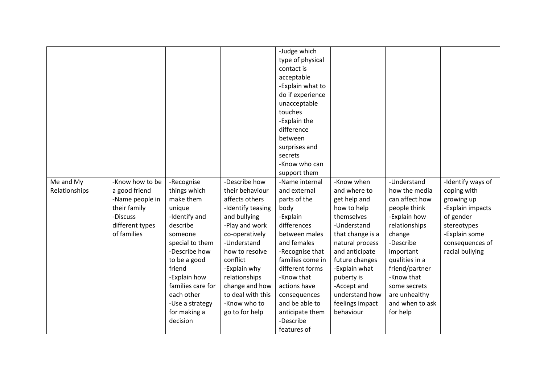|               |                 |                   |                   | -Judge which     |                  |                 |                   |
|---------------|-----------------|-------------------|-------------------|------------------|------------------|-----------------|-------------------|
|               |                 |                   |                   | type of physical |                  |                 |                   |
|               |                 |                   |                   | contact is       |                  |                 |                   |
|               |                 |                   |                   | acceptable       |                  |                 |                   |
|               |                 |                   |                   | -Explain what to |                  |                 |                   |
|               |                 |                   |                   | do if experience |                  |                 |                   |
|               |                 |                   |                   | unacceptable     |                  |                 |                   |
|               |                 |                   |                   | touches          |                  |                 |                   |
|               |                 |                   |                   | -Explain the     |                  |                 |                   |
|               |                 |                   |                   | difference       |                  |                 |                   |
|               |                 |                   |                   | between          |                  |                 |                   |
|               |                 |                   |                   | surprises and    |                  |                 |                   |
|               |                 |                   |                   | secrets          |                  |                 |                   |
|               |                 |                   |                   | -Know who can    |                  |                 |                   |
|               |                 |                   |                   | support them     |                  |                 |                   |
| Me and My     | -Know how to be | -Recognise        | -Describe how     | -Name internal   | -Know when       | -Understand     | -Identify ways of |
| Relationships | a good friend   | things which      | their behaviour   | and external     | and where to     | how the media   | coping with       |
|               | -Name people in | make them         | affects others    | parts of the     | get help and     | can affect how  | growing up        |
|               | their family    |                   |                   | body             |                  |                 |                   |
|               |                 | unique            | -Identify teasing |                  | how to help      | people think    | -Explain impacts  |
|               | -Discuss        | -Identify and     | and bullying      | -Explain         | themselves       | -Explain how    | of gender         |
|               | different types | describe          | -Play and work    | differences      | -Understand      | relationships   | stereotypes       |
|               | of families     | someone           | co-operatively    | between males    | that change is a | change          | -Explain some     |
|               |                 | special to them   | -Understand       | and females      | natural process  | -Describe       | consequences of   |
|               |                 | -Describe how     | how to resolve    | -Recognise that  | and anticipate   | important       | racial bullying   |
|               |                 | to be a good      | conflict          | families come in | future changes   | qualities in a  |                   |
|               |                 | friend            | -Explain why      | different forms  | -Explain what    | friend/partner  |                   |
|               |                 | -Explain how      | relationships     | -Know that       | puberty is       | -Know that      |                   |
|               |                 | families care for | change and how    | actions have     | -Accept and      | some secrets    |                   |
|               |                 | each other        | to deal with this | consequences     | understand how   | are unhealthy   |                   |
|               |                 | -Use a strategy   | -Know who to      | and be able to   | feelings impact  | and when to ask |                   |
|               |                 | for making a      | go to for help    | anticipate them  | behaviour        | for help        |                   |
|               |                 | decision          |                   | -Describe        |                  |                 |                   |
|               |                 |                   |                   | features of      |                  |                 |                   |